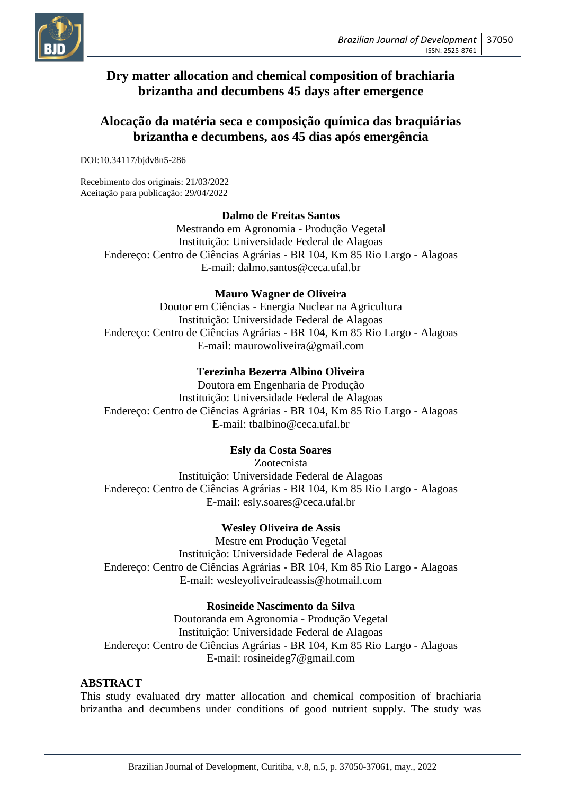

# **Dry matter allocation and chemical composition of brachiaria brizantha and decumbens 45 days after emergence**

# **Alocação da matéria seca e composição química das braquiárias brizantha e decumbens, aos 45 dias após emergência**

DOI:10.34117/bjdv8n5-286

Recebimento dos originais: 21/03/2022 Aceitação para publicação: 29/04/2022

## **Dalmo de Freitas Santos**

Mestrando em Agronomia - Produção Vegetal Instituição: Universidade Federal de Alagoas Endereço: Centro de Ciências Agrárias - BR 104, Km 85 Rio Largo - Alagoas E-mail: dalmo.santos@ceca.ufal.br

## **Mauro Wagner de Oliveira**

Doutor em Ciências - Energia Nuclear na Agricultura Instituição: Universidade Federal de Alagoas Endereço: Centro de Ciências Agrárias - BR 104, Km 85 Rio Largo - Alagoas E-mail: maurowoliveira@gmail.com

## **Terezinha Bezerra Albino Oliveira**

Doutora em Engenharia de Produção Instituição: Universidade Federal de Alagoas Endereço: Centro de Ciências Agrárias - BR 104, Km 85 Rio Largo - Alagoas E-mail: tbalbino@ceca.ufal.br

## **Esly da Costa Soares**

Zootecnista Instituição: Universidade Federal de Alagoas Endereço: Centro de Ciências Agrárias - BR 104, Km 85 Rio Largo - Alagoas E-mail: esly.soares@ceca.ufal.br

## **Wesley Oliveira de Assis**

Mestre em Produção Vegetal Instituição: Universidade Federal de Alagoas Endereço: Centro de Ciências Agrárias - BR 104, Km 85 Rio Largo - Alagoas E-mail: wesleyoliveiradeassis@hotmail.com

## **Rosineide Nascimento da Silva**

Doutoranda em Agronomia - Produção Vegetal Instituição: Universidade Federal de Alagoas Endereço: Centro de Ciências Agrárias - BR 104, Km 85 Rio Largo - Alagoas E-mail: rosineideg7@gmail.com

#### **ABSTRACT**

This study evaluated dry matter allocation and chemical composition of brachiaria brizantha and decumbens under conditions of good nutrient supply. The study was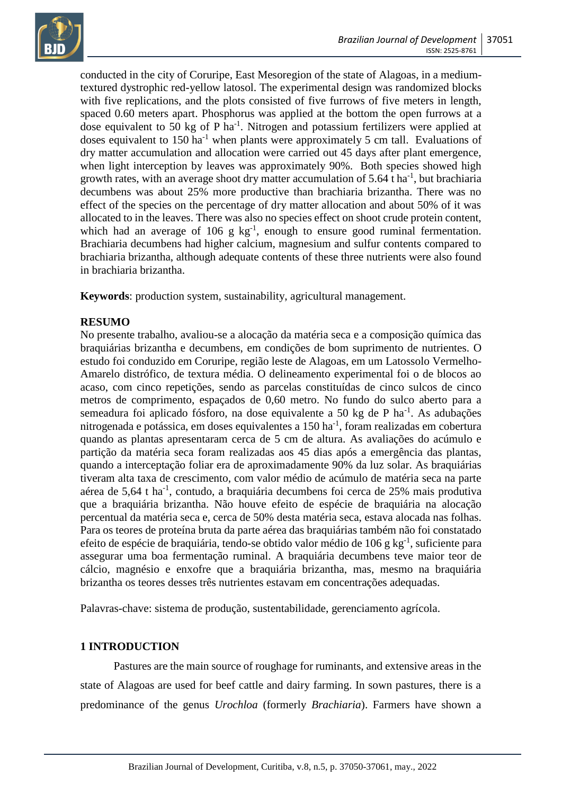

conducted in the city of Coruripe, East Mesoregion of the state of Alagoas, in a mediumtextured dystrophic red-yellow latosol. The experimental design was randomized blocks with five replications, and the plots consisted of five furrows of five meters in length, spaced 0.60 meters apart. Phosphorus was applied at the bottom the open furrows at a dose equivalent to 50 kg of P ha<sup>-1</sup>. Nitrogen and potassium fertilizers were applied at doses equivalent to  $150$  ha<sup>-1</sup> when plants were approximately 5 cm tall. Evaluations of dry matter accumulation and allocation were carried out 45 days after plant emergence, when light interception by leaves was approximately 90%. Both species showed high growth rates, with an average shoot dry matter accumulation of  $5.64$  t ha<sup>-1</sup>, but brachiaria decumbens was about 25% more productive than brachiaria brizantha. There was no effect of the species on the percentage of dry matter allocation and about 50% of it was allocated to in the leaves. There was also no species effect on shoot crude protein content, which had an average of 106 g  $kg^{-1}$ , enough to ensure good ruminal fermentation. Brachiaria decumbens had higher calcium, magnesium and sulfur contents compared to brachiaria brizantha, although adequate contents of these three nutrients were also found in brachiaria brizantha.

**Keywords**: production system, sustainability, agricultural management.

## **RESUMO**

No presente trabalho, avaliou-se a alocação da matéria seca e a composição química das braquiárias brizantha e decumbens, em condições de bom suprimento de nutrientes. O estudo foi conduzido em Coruripe, região leste de Alagoas, em um Latossolo Vermelho-Amarelo distrófico, de textura média. O delineamento experimental foi o de blocos ao acaso, com cinco repetições, sendo as parcelas constituídas de cinco sulcos de cinco metros de comprimento, espaçados de 0,60 metro. No fundo do sulco aberto para a semeadura foi aplicado fósforo, na dose equivalente a 50 kg de P ha<sup>-1</sup>. As adubações nitrogenada e potássica, em doses equivalentes a 150 ha<sup>-1</sup>, foram realizadas em cobertura quando as plantas apresentaram cerca de 5 cm de altura. As avaliações do acúmulo e partição da matéria seca foram realizadas aos 45 dias após a emergência das plantas, quando a interceptação foliar era de aproximadamente 90% da luz solar. As braquiárias tiveram alta taxa de crescimento, com valor médio de acúmulo de matéria seca na parte aérea de 5,64 t ha<sup>-1</sup>, contudo, a braquiária decumbens foi cerca de 25% mais produtiva que a braquiária brizantha. Não houve efeito de espécie de braquiária na alocação percentual da matéria seca e, cerca de 50% desta matéria seca, estava alocada nas folhas. Para os teores de proteína bruta da parte aérea das braquiárias também não foi constatado efeito de espécie de braquiária, tendo-se obtido valor médio de 106 g kg<sup>-1</sup>, suficiente para assegurar uma boa fermentação ruminal. A braquiária decumbens teve maior teor de cálcio, magnésio e enxofre que a braquiária brizantha, mas, mesmo na braquiária brizantha os teores desses três nutrientes estavam em concentrações adequadas.

Palavras-chave: sistema de produção, sustentabilidade, gerenciamento agrícola.

## **1 INTRODUCTION**

Pastures are the main source of roughage for ruminants, and extensive areas in the state of Alagoas are used for beef cattle and dairy farming. In sown pastures, there is a predominance of the genus *Urochloa* (formerly *Brachiaria*). Farmers have shown a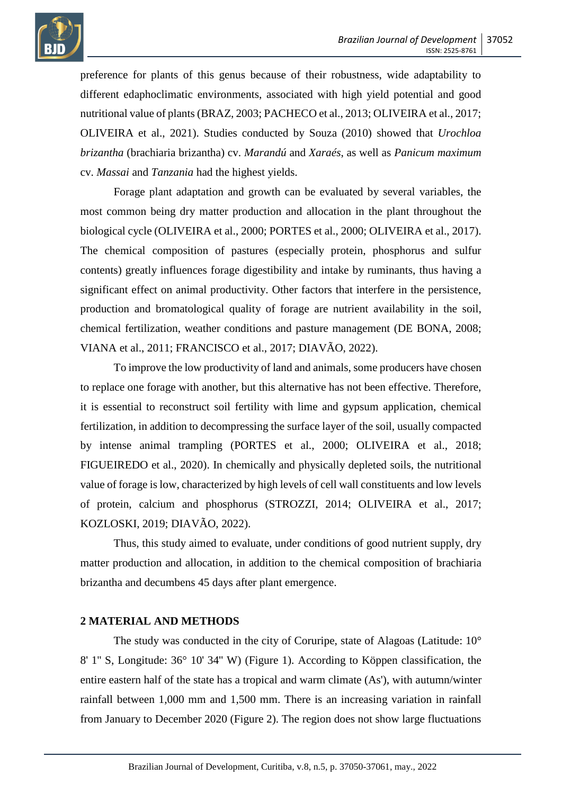

preference for plants of this genus because of their robustness, wide adaptability to different edaphoclimatic environments, associated with high yield potential and good nutritional value of plants (BRAZ, 2003; PACHECO et al., 2013; OLIVEIRA et al., 2017; OLIVEIRA et al., 2021). Studies conducted by Souza (2010) showed that *Urochloa brizantha* (brachiaria brizantha) cv. *Marandú* and *Xaraés*, as well as *Panicum maximum* cv. *Massai* and *Tanzania* had the highest yields.

Forage plant adaptation and growth can be evaluated by several variables, the most common being dry matter production and allocation in the plant throughout the biological cycle (OLIVEIRA et al., 2000; PORTES et al., 2000; OLIVEIRA et al., 2017). The chemical composition of pastures (especially protein, phosphorus and sulfur contents) greatly influences forage digestibility and intake by ruminants, thus having a significant effect on animal productivity. Other factors that interfere in the persistence, production and bromatological quality of forage are nutrient availability in the soil, chemical fertilization, weather conditions and pasture management (DE BONA, 2008; VIANA et al., 2011; FRANCISCO et al., 2017; DIAVÃO, 2022).

To improve the low productivity of land and animals, some producers have chosen to replace one forage with another, but this alternative has not been effective. Therefore, it is essential to reconstruct soil fertility with lime and gypsum application, chemical fertilization, in addition to decompressing the surface layer of the soil, usually compacted by intense animal trampling (PORTES et al., 2000; OLIVEIRA et al., 2018; FIGUEIREDO et al., 2020). In chemically and physically depleted soils, the nutritional value of forage is low, characterized by high levels of cell wall constituents and low levels of protein, calcium and phosphorus (STROZZI, 2014; OLIVEIRA et al., 2017; KOZLOSKI, 2019; DIAVÃO, 2022).

Thus, this study aimed to evaluate, under conditions of good nutrient supply, dry matter production and allocation, in addition to the chemical composition of brachiaria brizantha and decumbens 45 days after plant emergence.

## **2 MATERIAL AND METHODS**

The study was conducted in the city of Coruripe, state of Alagoas (Latitude: 10° 8' 1'' S, Longitude: 36° 10' 34'' W) (Figure 1). According to Köppen classification, the entire eastern half of the state has a tropical and warm climate (As'), with autumn/winter rainfall between 1,000 mm and 1,500 mm. There is an increasing variation in rainfall from January to December 2020 (Figure 2). The region does not show large fluctuations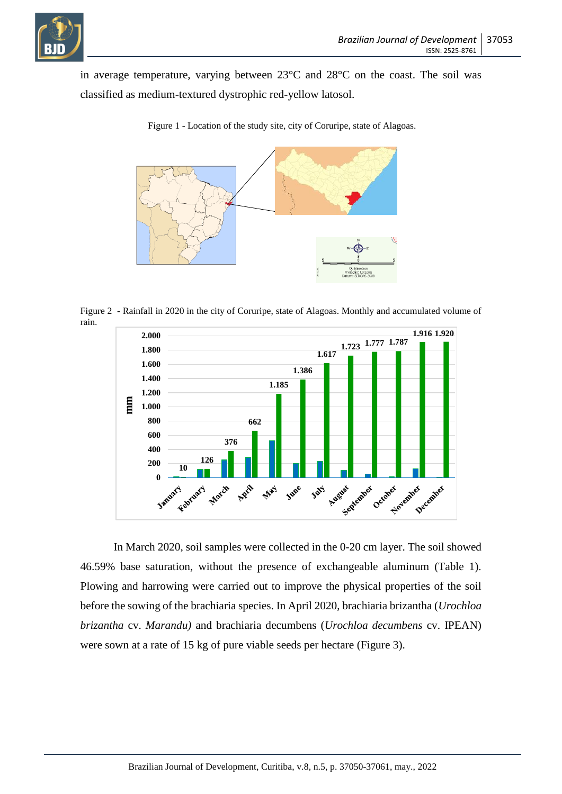

in average temperature, varying between 23°C and 28°C on the coast. The soil was classified as medium-textured dystrophic red-yellow latosol.



Figure 1 - Location of the study site, city of Coruripe, state of Alagoas.

Figure 2 **-** Rainfall in 2020 in the city of Coruripe, state of Alagoas. Monthly and accumulated volume of rain.



In March 2020, soil samples were collected in the 0-20 cm layer. The soil showed 46.59% base saturation, without the presence of exchangeable aluminum (Table 1). Plowing and harrowing were carried out to improve the physical properties of the soil before the sowing of the brachiaria species. In April 2020, brachiaria brizantha (*Urochloa brizantha* cv. *Marandu)* and brachiaria decumbens (*Urochloa decumbens* cv. IPEAN) were sown at a rate of 15 kg of pure viable seeds per hectare (Figure 3).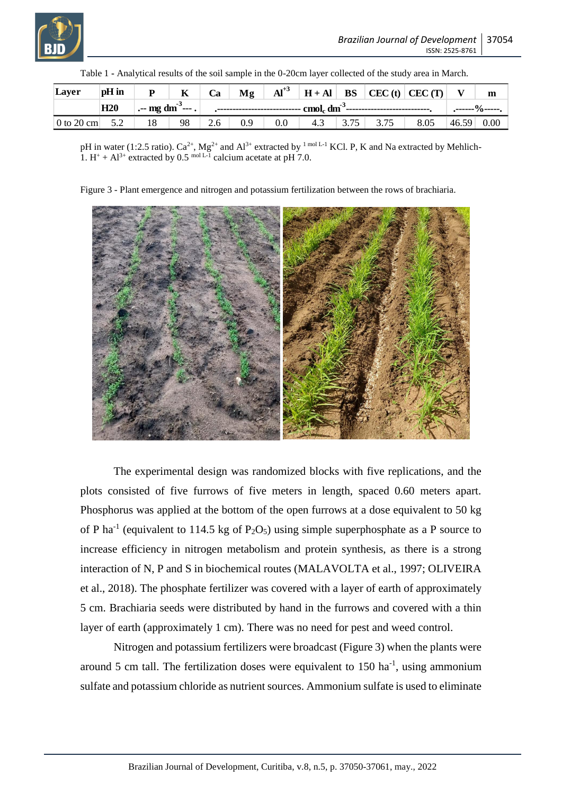| Layer                         | pH in |  |    | Ca                                                                                                                                                                                                                                                                                                                                                                                                                  | Mg  |     |     |      |      | $\mathbf{A}^{+3}$   $\mathbf{H} + \mathbf{A}\mathbf{I}$   $\mathbf{BS}$   CEC (t)   CEC (T) |       | m              |  |
|-------------------------------|-------|--|----|---------------------------------------------------------------------------------------------------------------------------------------------------------------------------------------------------------------------------------------------------------------------------------------------------------------------------------------------------------------------------------------------------------------------|-----|-----|-----|------|------|---------------------------------------------------------------------------------------------|-------|----------------|--|
|                               | H20   |  |    | $\left  \cdot \right $ and $\sin^3 \theta$ . $\left  \cdot \right $ . $\left  \cdot \right $ . $\left  \cdot \right $ . $\left  \cdot \right $ and $\left  \cdot \right $ and $\sin^3 \theta$ . $\left  \cdot \right $ and $\left  \cdot \right $ and $\left  \cdot \right $ and $\left  \cdot \right $ and $\left  \cdot \right $ and $\left  \cdot \right $ and $\left  \cdot \right $ and $\left  \cdot \right $ |     |     |     |      |      |                                                                                             |       | .------%-----. |  |
| $0 \text{ to } 20 \text{ cm}$ | 5.2   |  | 98 | 2.6                                                                                                                                                                                                                                                                                                                                                                                                                 | 0.9 | 0.0 | 4.3 | 3.75 | 3.75 | 8.05                                                                                        | 46.59 | $0.00\,$       |  |

Table 1 **-** Analytical results of the soil sample in the 0-20cm layer collected of the study area in March.

pH in water (1:2.5 ratio).  $Ca^{2+}$ , Mg<sup>2+</sup> and Al<sup>3+</sup> extracted by <sup>1 mol L-1</sup> KCl. P, K and Na extracted by Mehlich-1.  $H^+ + Al^{3+}$  extracted by 0.5 mol L-1 calcium acetate at pH 7.0.

Figure 3 - Plant emergence and nitrogen and potassium fertilization between the rows of brachiaria.



The experimental design was randomized blocks with five replications, and the plots consisted of five furrows of five meters in length, spaced 0.60 meters apart. Phosphorus was applied at the bottom of the open furrows at a dose equivalent to 50 kg of P ha<sup>-1</sup> (equivalent to 114.5 kg of P<sub>2</sub>O<sub>5</sub>) using simple superphosphate as a P source to increase efficiency in nitrogen metabolism and protein synthesis, as there is a strong interaction of N, P and S in biochemical routes (MALAVOLTA et al., 1997; OLIVEIRA et al., 2018). The phosphate fertilizer was covered with a layer of earth of approximately 5 cm. Brachiaria seeds were distributed by hand in the furrows and covered with a thin layer of earth (approximately 1 cm). There was no need for pest and weed control.

Nitrogen and potassium fertilizers were broadcast (Figure 3) when the plants were around 5 cm tall. The fertilization doses were equivalent to  $150 \text{ ha}^{-1}$ , using ammonium sulfate and potassium chloride as nutrient sources. Ammonium sulfate is used to eliminate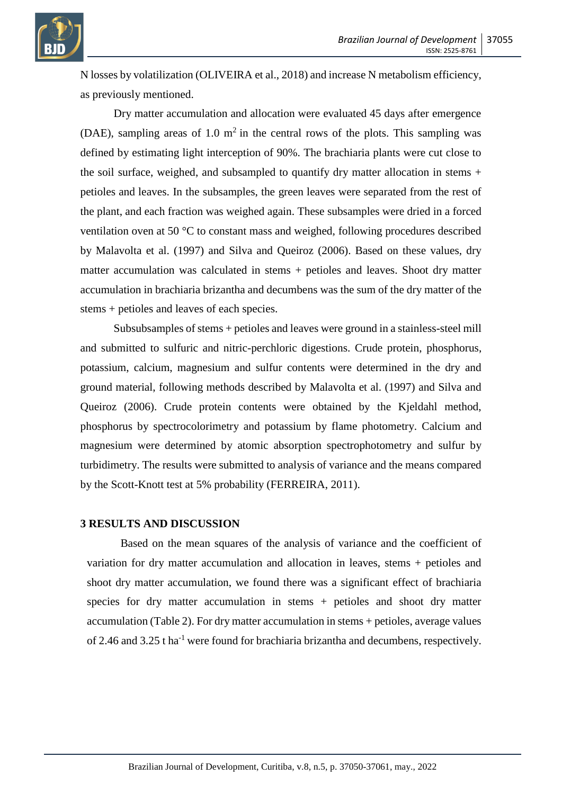

N losses by volatilization (OLIVEIRA et al., 2018) and increase N metabolism efficiency, as previously mentioned.

Dry matter accumulation and allocation were evaluated 45 days after emergence (DAE), sampling areas of 1.0  $m<sup>2</sup>$  in the central rows of the plots. This sampling was defined by estimating light interception of 90%. The brachiaria plants were cut close to the soil surface, weighed, and subsampled to quantify dry matter allocation in stems + petioles and leaves. In the subsamples, the green leaves were separated from the rest of the plant, and each fraction was weighed again. These subsamples were dried in a forced ventilation oven at 50 °C to constant mass and weighed, following procedures described by Malavolta et al. (1997) and Silva and Queiroz (2006). Based on these values, dry matter accumulation was calculated in stems + petioles and leaves. Shoot dry matter accumulation in brachiaria brizantha and decumbens was the sum of the dry matter of the stems + petioles and leaves of each species.

Subsubsamples of stems + petioles and leaves were ground in a stainless-steel mill and submitted to sulfuric and nitric-perchloric digestions. Crude protein, phosphorus, potassium, calcium, magnesium and sulfur contents were determined in the dry and ground material, following methods described by Malavolta et al. (1997) and Silva and Queiroz (2006). Crude protein contents were obtained by the Kjeldahl method, phosphorus by spectrocolorimetry and potassium by flame photometry. Calcium and magnesium were determined by atomic absorption spectrophotometry and sulfur by turbidimetry. The results were submitted to analysis of variance and the means compared by the Scott-Knott test at 5% probability (FERREIRA, 2011).

#### **3 RESULTS AND DISCUSSION**

Based on the mean squares of the analysis of variance and the coefficient of variation for dry matter accumulation and allocation in leaves, stems + petioles and shoot dry matter accumulation, we found there was a significant effect of brachiaria species for dry matter accumulation in stems + petioles and shoot dry matter accumulation (Table 2). For dry matter accumulation in stems + petioles, average values of 2.46 and 3.25 t ha<sup>-1</sup> were found for brachiaria brizantha and decumbens, respectively.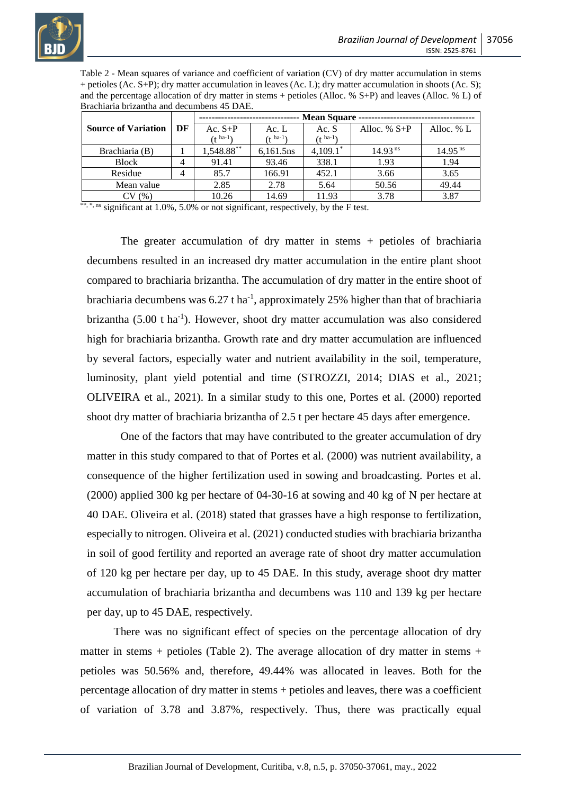

Table 2 - Mean squares of variance and coefficient of variation (CV) of dry matter accumulation in stems + petioles (Ac. S+P); dry matter accumulation in leaves (Ac. L); dry matter accumulation in shoots (Ac. S); and the percentage allocation of dry matter in stems + petioles (Alloc. % S+P) and leaves (Alloc. % L) of Brachiaria brizantha and decumbens 45 DAE.

|                            |    | <b>Mean Square -</b> |                |             |                     |                       |  |  |  |
|----------------------------|----|----------------------|----------------|-------------|---------------------|-----------------------|--|--|--|
| <b>Source of Variation</b> | DF | Ac. $S+P$            | Ac. $L$        | Ac. S       | Alloc. $% S+P$      | Alloc. $% L$          |  |  |  |
|                            |    | $(1^{ha-1})$         | $($ t ha-1 $)$ | $(1)$ ha-1  |                     |                       |  |  |  |
| Brachiaria (B)             |    | 1,548.88**           | 6,161.5ns      | $4,109.1^*$ | 14.93 <sup>ns</sup> | $14.95$ <sup>ns</sup> |  |  |  |
| <b>Block</b>               | 4  | 91.41                | 93.46          | 338.1       | 1.93                | 1.94                  |  |  |  |
| Residue                    | 4  | 85.7                 | 166.91         | 452.1       | 3.66                | 3.65                  |  |  |  |
| Mean value                 |    | 2.85                 | 2.78           | 5.64        | 50.56               | 49.44                 |  |  |  |
| (96)                       |    | 10.26                | 14.69          | 11.93       | 3.78                | 3.87                  |  |  |  |

\*\*, \*, ns significant at  $1.0\%$ ,  $5.0\%$  or not significant, respectively, by the F test.

The greater accumulation of dry matter in stems + petioles of brachiaria decumbens resulted in an increased dry matter accumulation in the entire plant shoot compared to brachiaria brizantha. The accumulation of dry matter in the entire shoot of brachiaria decumbens was  $6.27$  t ha<sup>-1</sup>, approximately 25% higher than that of brachiaria brizantha (5.00 t ha<sup>-1</sup>). However, shoot dry matter accumulation was also considered high for brachiaria brizantha. Growth rate and dry matter accumulation are influenced by several factors, especially water and nutrient availability in the soil, temperature, luminosity, plant yield potential and time (STROZZI, 2014; DIAS et al., 2021; OLIVEIRA et al., 2021). In a similar study to this one, Portes et al. (2000) reported shoot dry matter of brachiaria brizantha of 2.5 t per hectare 45 days after emergence.

One of the factors that may have contributed to the greater accumulation of dry matter in this study compared to that of Portes et al. (2000) was nutrient availability, a consequence of the higher fertilization used in sowing and broadcasting. Portes et al. (2000) applied 300 kg per hectare of 04-30-16 at sowing and 40 kg of N per hectare at 40 DAE. Oliveira et al. (2018) stated that grasses have a high response to fertilization, especially to nitrogen. Oliveira et al. (2021) conducted studies with brachiaria brizantha in soil of good fertility and reported an average rate of shoot dry matter accumulation of 120 kg per hectare per day, up to 45 DAE. In this study, average shoot dry matter accumulation of brachiaria brizantha and decumbens was 110 and 139 kg per hectare per day, up to 45 DAE, respectively.

There was no significant effect of species on the percentage allocation of dry matter in stems  $+$  petioles (Table 2). The average allocation of dry matter in stems  $+$ petioles was 50.56% and, therefore, 49.44% was allocated in leaves. Both for the percentage allocation of dry matter in stems + petioles and leaves, there was a coefficient of variation of 3.78 and 3.87%, respectively. Thus, there was practically equal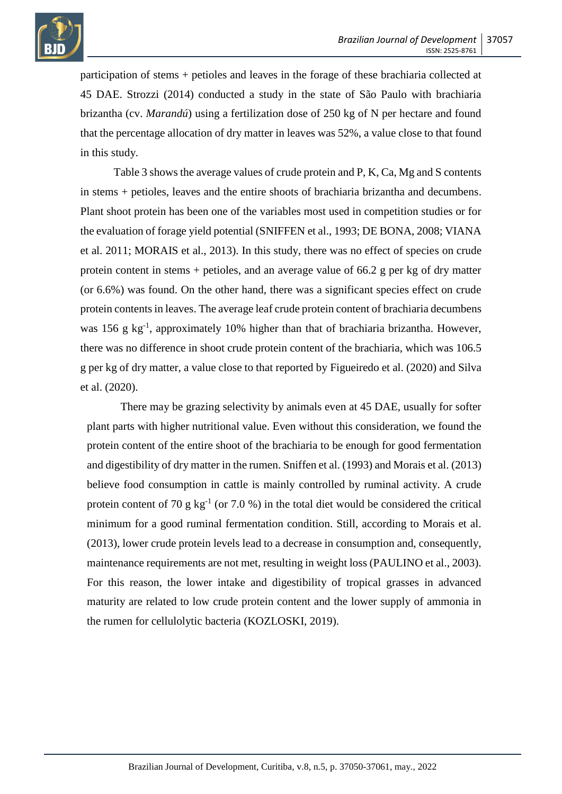

participation of stems + petioles and leaves in the forage of these brachiaria collected at 45 DAE. Strozzi (2014) conducted a study in the state of São Paulo with brachiaria brizantha (cv. *Marandú*) using a fertilization dose of 250 kg of N per hectare and found that the percentage allocation of dry matter in leaves was 52%, a value close to that found in this study.

Table 3 shows the average values of crude protein and P, K, Ca, Mg and S contents in stems + petioles, leaves and the entire shoots of brachiaria brizantha and decumbens. Plant shoot protein has been one of the variables most used in competition studies or for the evaluation of forage yield potential (SNIFFEN et al., 1993; DE BONA, 2008; VIANA et al. 2011; MORAIS et al., 2013). In this study, there was no effect of species on crude protein content in stems + petioles, and an average value of 66.2 g per kg of dry matter (or 6.6%) was found. On the other hand, there was a significant species effect on crude protein contents in leaves. The average leaf crude protein content of brachiaria decumbens was 156 g kg<sup>-1</sup>, approximately 10% higher than that of brachiaria brizantha. However, there was no difference in shoot crude protein content of the brachiaria, which was 106.5 g per kg of dry matter, a value close to that reported by Figueiredo et al. (2020) and Silva et al. (2020).

There may be grazing selectivity by animals even at 45 DAE, usually for softer plant parts with higher nutritional value. Even without this consideration, we found the protein content of the entire shoot of the brachiaria to be enough for good fermentation and digestibility of dry matter in the rumen. Sniffen et al. (1993) and Morais et al. (2013) believe food consumption in cattle is mainly controlled by ruminal activity. A crude protein content of 70 g  $kg^{-1}$  (or 7.0 %) in the total diet would be considered the critical minimum for a good ruminal fermentation condition. Still, according to Morais et al. (2013), lower crude protein levels lead to a decrease in consumption and, consequently, maintenance requirements are not met, resulting in weight loss (PAULINO et al., 2003). For this reason, the lower intake and digestibility of tropical grasses in advanced maturity are related to low crude protein content and the lower supply of ammonia in the rumen for cellulolytic bacteria (KOZLOSKI, 2019).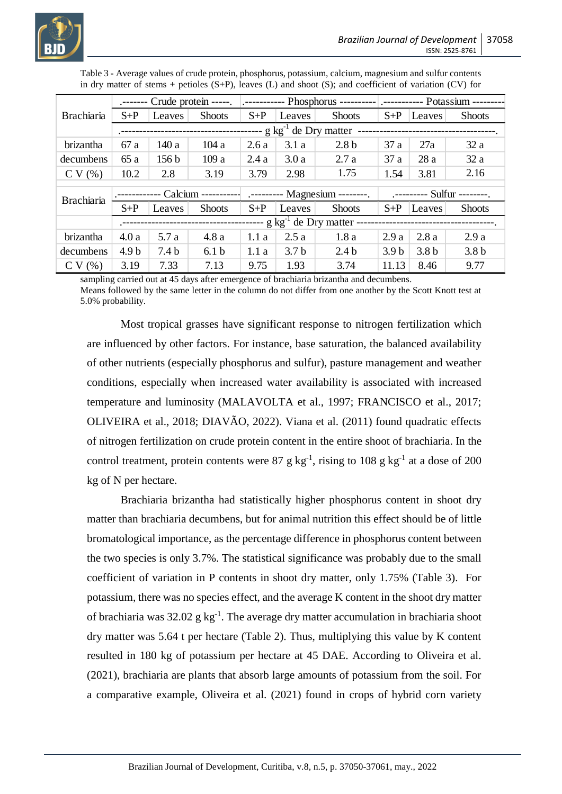

|                   | المستسمين                                                                      |                  |                  |       |                  |                                                    | Crude protein -----.   .----------- Phosphorus ----------   .----------- Potassium -------- |                  |                  |  |  |  |
|-------------------|--------------------------------------------------------------------------------|------------------|------------------|-------|------------------|----------------------------------------------------|---------------------------------------------------------------------------------------------|------------------|------------------|--|--|--|
| <b>Brachiaria</b> | $S+P$                                                                          | Leaves           | <b>Shoots</b>    | $S+P$ | Leaves           | <b>Shoots</b>                                      | $S+P$                                                                                       | Leaves           | <b>Shoots</b>    |  |  |  |
|                   |                                                                                |                  |                  |       |                  |                                                    |                                                                                             |                  |                  |  |  |  |
| brizantha         | 67 a                                                                           | 140 a            | 104a             | 2.6a  | 3.1a             | 2.8 <sub>b</sub>                                   | 37a                                                                                         | 27a              | 32a              |  |  |  |
| decumbens         | 65 a                                                                           | 156 <sub>b</sub> | 109a             | 2.4a  | 3.0a             | 2.7a                                               | 37 a                                                                                        | 28a              | 32a              |  |  |  |
| CV(%)             | 10.2                                                                           | 2.8              | 3.19             | 3.79  | 2.98             | 1.75                                               | 1.54                                                                                        | 3.81             | 2.16             |  |  |  |
| <b>Brachiaria</b> |                                                                                |                  |                  |       |                  |                                                    | .-------- Sulfur --------.                                                                  |                  |                  |  |  |  |
|                   |                                                                                |                  |                  |       |                  | Calcium ----------- .--------- Magnesium --------. |                                                                                             |                  |                  |  |  |  |
|                   | $S+P$                                                                          | Leaves           | <b>Shoots</b>    | $S+P$ | Leaves           | <b>Shoots</b>                                      | $S+P$                                                                                       | Leaves           | <b>Shoots</b>    |  |  |  |
|                   | --- g kg <sup>-1</sup> de Dry matter --<br>----------------------------------- |                  |                  |       |                  |                                                    |                                                                                             |                  |                  |  |  |  |
| brizantha         | 4.0a                                                                           | 5.7 a            | 4.8a             | 1.1a  | 2.5a             | 1.8a                                               | 2.9a                                                                                        | 2.8a             | 2.9a             |  |  |  |
| decumbens         | 4.9 <sub>b</sub>                                                               | 7.4 <sub>b</sub> | 6.1 <sub>b</sub> | 1.1a  | 3.7 <sub>b</sub> | 2.4 <sub>b</sub>                                   | 3.9 <sub>b</sub>                                                                            | 3.8 <sub>b</sub> | 3.8 <sub>b</sub> |  |  |  |
| CV(%)             | 3.19                                                                           | 7.33             | 7.13             | 9.75  | 1.93             | 3.74                                               | 11.13                                                                                       | 8.46             | 9.77             |  |  |  |

Table 3 **-** Average values of crude protein, phosphorus, potassium, calcium, magnesium and sulfur contents in dry matter of stems + petioles  $(S+P)$ , leaves  $(L)$  and shoot  $(S)$ ; and coefficient of variation  $(CV)$  for

sampling carried out at 45 days after emergence of brachiaria brizantha and decumbens.

Means followed by the same letter in the column do not differ from one another by the Scott Knott test at 5.0% probability.

Most tropical grasses have significant response to nitrogen fertilization which are influenced by other factors. For instance, base saturation, the balanced availability of other nutrients (especially phosphorus and sulfur), pasture management and weather conditions, especially when increased water availability is associated with increased temperature and luminosity (MALAVOLTA et al., 1997; FRANCISCO et al., 2017; OLIVEIRA et al., 2018; DIAVÃO, 2022). Viana et al. (2011) found quadratic effects of nitrogen fertilization on crude protein content in the entire shoot of brachiaria. In the control treatment, protein contents were 87 g kg<sup>-1</sup>, rising to 108 g kg<sup>-1</sup> at a dose of 200 kg of N per hectare.

Brachiaria brizantha had statistically higher phosphorus content in shoot dry matter than brachiaria decumbens, but for animal nutrition this effect should be of little bromatological importance, as the percentage difference in phosphorus content between the two species is only 3.7%. The statistical significance was probably due to the small coefficient of variation in P contents in shoot dry matter, only 1.75% (Table 3). For potassium, there was no species effect, and the average K content in the shoot dry matter of brachiaria was  $32.02$  g kg<sup>-1</sup>. The average dry matter accumulation in brachiaria shoot dry matter was 5.64 t per hectare (Table 2). Thus, multiplying this value by K content resulted in 180 kg of potassium per hectare at 45 DAE. According to Oliveira et al. (2021), brachiaria are plants that absorb large amounts of potassium from the soil. For a comparative example, Oliveira et al. (2021) found in crops of hybrid corn variety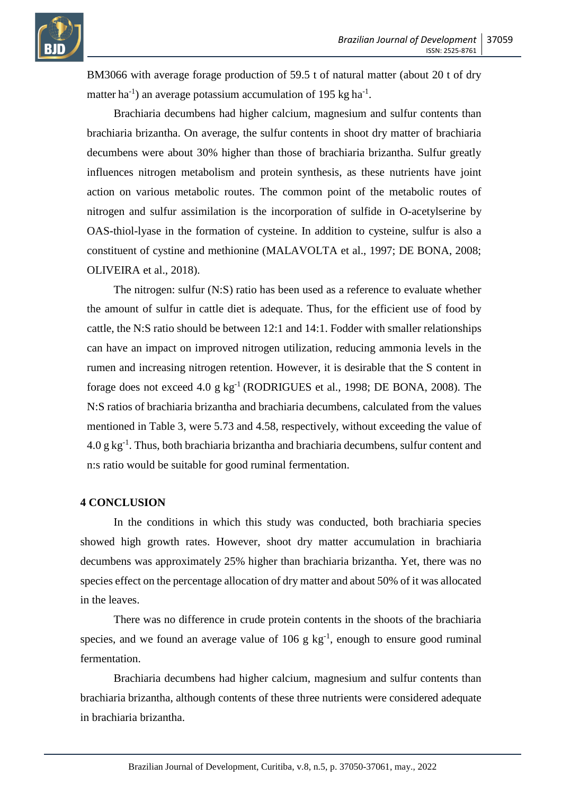

BM3066 with average forage production of 59.5 t of natural matter (about 20 t of dry matter ha<sup>-1</sup>) an average potassium accumulation of 195 kg ha<sup>-1</sup>.

Brachiaria decumbens had higher calcium, magnesium and sulfur contents than brachiaria brizantha. On average, the sulfur contents in shoot dry matter of brachiaria decumbens were about 30% higher than those of brachiaria brizantha. Sulfur greatly influences nitrogen metabolism and protein synthesis, as these nutrients have joint action on various metabolic routes. The common point of the metabolic routes of nitrogen and sulfur assimilation is the incorporation of sulfide in O-acetylserine by OAS-thiol-lyase in the formation of cysteine. In addition to cysteine, sulfur is also a constituent of cystine and methionine (MALAVOLTA et al., 1997; DE BONA, 2008; OLIVEIRA et al., 2018).

The nitrogen: sulfur (N:S) ratio has been used as a reference to evaluate whether the amount of sulfur in cattle diet is adequate. Thus, for the efficient use of food by cattle, the N:S ratio should be between 12:1 and 14:1. Fodder with smaller relationships can have an impact on improved nitrogen utilization, reducing ammonia levels in the rumen and increasing nitrogen retention. However, it is desirable that the S content in forage does not exceed 4.0 g  $kg^{-1}$  (RODRIGUES et al., 1998; DE BONA, 2008). The N:S ratios of brachiaria brizantha and brachiaria decumbens, calculated from the values mentioned in Table 3, were 5.73 and 4.58, respectively, without exceeding the value of  $4.0 \text{ g kg}^{-1}$ . Thus, both brachiaria brizantha and brachiaria decumbens, sulfur content and n:s ratio would be suitable for good ruminal fermentation.

## **4 CONCLUSION**

In the conditions in which this study was conducted, both brachiaria species showed high growth rates. However, shoot dry matter accumulation in brachiaria decumbens was approximately 25% higher than brachiaria brizantha. Yet, there was no species effect on the percentage allocation of dry matter and about 50% of it was allocated in the leaves.

There was no difference in crude protein contents in the shoots of the brachiaria species, and we found an average value of  $106 \text{ g kg}^{-1}$ , enough to ensure good ruminal fermentation.

Brachiaria decumbens had higher calcium, magnesium and sulfur contents than brachiaria brizantha, although contents of these three nutrients were considered adequate in brachiaria brizantha.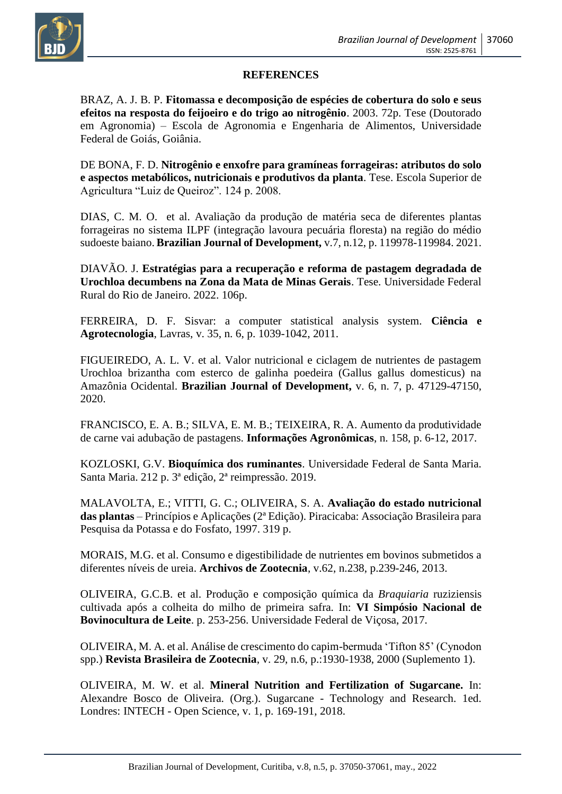

## **REFERENCES**

BRAZ, A. J. B. P. **Fitomassa e decomposição de espécies de cobertura do solo e seus efeitos na resposta do feijoeiro e do trigo ao nitrogênio**. 2003. 72p. Tese (Doutorado em Agronomia) – Escola de Agronomia e Engenharia de Alimentos, Universidade Federal de Goiás, Goiânia.

DE BONA, F. D. **Nitrogênio e enxofre para gramíneas forrageiras: atributos do solo e aspectos metabólicos, nutricionais e produtivos da planta**. Tese. Escola Superior de Agricultura "Luiz de Queiroz". 124 p. 2008.

DIAS, C. M. O. et al. Avaliação da produção de matéria seca de diferentes plantas forrageiras no sistema ILPF (integração lavoura pecuária floresta) na região do médio sudoeste baiano. **Brazilian Journal of Development,** v.7, n.12, p. 119978-119984. 2021.

DIAVÃO. J. **Estratégias para a recuperação e reforma de pastagem degradada de Urochloa decumbens na Zona da Mata de Minas Gerais**. Tese. Universidade Federal Rural do Rio de Janeiro. 2022. 106p.

FERREIRA, D. F. Sisvar: a computer statistical analysis system. **Ciência e Agrotecnologia**, Lavras, v. 35, n. 6, p. 1039-1042, 2011.

FIGUEIREDO, A. L. V. et al. Valor nutricional e ciclagem de nutrientes de pastagem Urochloa brizantha com esterco de galinha poedeira (Gallus gallus domesticus) na Amazônia Ocidental. **Brazilian Journal of Development,** v. 6, n. 7, p. 47129-47150, 2020.

FRANCISCO, E. A. B.; SILVA, E. M. B.; TEIXEIRA, R. A. Aumento da produtividade de carne vai adubação de pastagens. **Informações Agronômicas**, n. 158, p. 6-12, 2017.

KOZLOSKI, G.V. **Bioquímica dos ruminantes**. Universidade Federal de Santa Maria. Santa Maria. 212 p. 3ª edição, 2ª reimpressão. 2019.

MALAVOLTA, E.; VITTI, G. C.; OLIVEIRA, S. A. **Avaliação do estado nutricional das plantas** – Princípios e Aplicações (2ª Edição). Piracicaba: Associação Brasileira para Pesquisa da Potassa e do Fosfato, 1997. 319 p.

MORAIS, M.G. et al. Consumo e digestibilidade de nutrientes em bovinos submetidos a diferentes níveis de ureia. **Archivos de Zootecnia**, v.62, n.238, p.239-246, 2013.

OLIVEIRA, G.C.B. et al. Produção e composição química da *Braquiaria* ruziziensis cultivada após a colheita do milho de primeira safra. In: **VI Simpósio Nacional de Bovinocultura de Leite**. p. 253-256. Universidade Federal de Viçosa, 2017.

OLIVEIRA, M. A. et al. Análise de crescimento do capim-bermuda 'Tifton 85' (Cynodon spp.) **Revista Brasileira de Zootecnia**, v. 29, n.6, p.:1930-1938, 2000 (Suplemento 1).

OLIVEIRA, M. W. et al. **Mineral Nutrition and Fertilization of Sugarcane.** In: Alexandre Bosco de Oliveira. (Org.). Sugarcane - Technology and Research. 1ed. Londres: INTECH - Open Science, v. 1, p. 169-191, 2018.